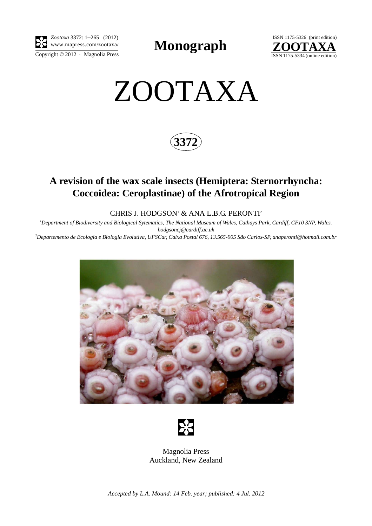

**Monograph** 



# ZOOTAXA

**3372**

## **A revision of the wax scale insects (Hemiptera: Sternorrhyncha: Coccoidea: Ceroplastinae) of the Afrotropical Region**

CHRIS J. HODGSON1 & ANA L.B.G. PERONTI2

*1 Department of Biodiversity and Biological Sytematics, The National Museum of Wales, Cathays Park, Cardiff, CF10 3NP, Wales. hodgsoncj@cardiff.ac.uk*

*2 Departemento de Ecologia e Biologia Evolutiva, UFSCar, Caixa Postal 676, 13.565-905 São Carlos-SP, anaperonti@hotmail.com.br*





Magnolia Press Auckland, New Zealand

*Accepted by L.A. Mound: 14 Feb. year; published: 4 Jul. 2012*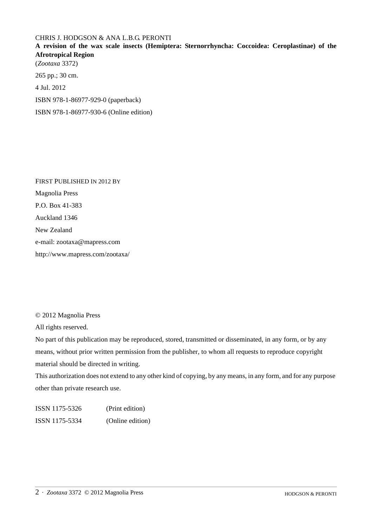### CHRIS J. HODGSON & ANA L.B.G. PERONTI

**A revision of the wax scale insects (Hemiptera: Sternorrhyncha: Coccoidea: Ceroplastinae) of the Afrotropical Region**

(*Zootaxa* 3372) 265 pp.; 30 cm. 4 Jul. 2012 ISBN 978-1-86977-929-0 (paperback) ISBN 978-1-86977-930-6 (Online edition)

FIRST PUBLISHED IN 2012 BY Magnolia Press P.O. Box 41-383 Auckland 1346 New Zealand e-mail: zootaxa@mapress.com http://www.mapress.com/zootaxa/

© 2012 Magnolia Press

All rights reserved.

No part of this publication may be reproduced, stored, transmitted or disseminated, in any form, or by any means, without prior written permission from the publisher, to whom all requests to reproduce copyright material should be directed in writing.

This authorization does not extend to any other kind of copying, by any means, in any form, and for any purpose other than private research use.

ISSN 1175-5326 (Print edition) ISSN 1175-5334 (Online edition)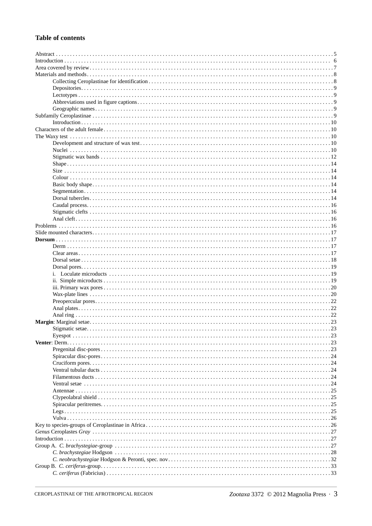### **Table of contents**

|  | Stigmatic setae |             |  |  |
|--|-----------------|-------------|--|--|
|  |                 |             |  |  |
|  |                 |             |  |  |
|  |                 |             |  |  |
|  |                 |             |  |  |
|  |                 |             |  |  |
|  |                 |             |  |  |
|  |                 |             |  |  |
|  |                 | $\ldots$ 24 |  |  |
|  |                 |             |  |  |
|  |                 |             |  |  |
|  |                 |             |  |  |
|  |                 |             |  |  |
|  |                 |             |  |  |
|  |                 |             |  |  |
|  |                 |             |  |  |
|  |                 |             |  |  |
|  |                 |             |  |  |
|  |                 |             |  |  |
|  |                 |             |  |  |
|  |                 |             |  |  |
|  |                 |             |  |  |
|  |                 |             |  |  |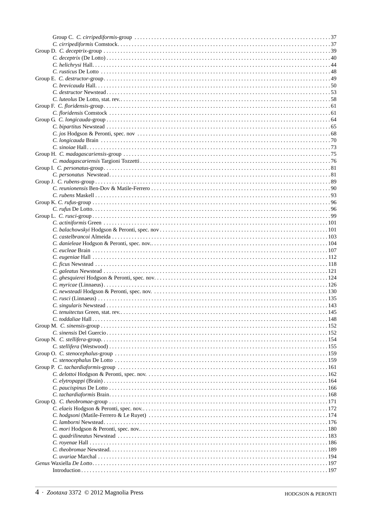| $Introduction \dots 197$ |  |
|--------------------------|--|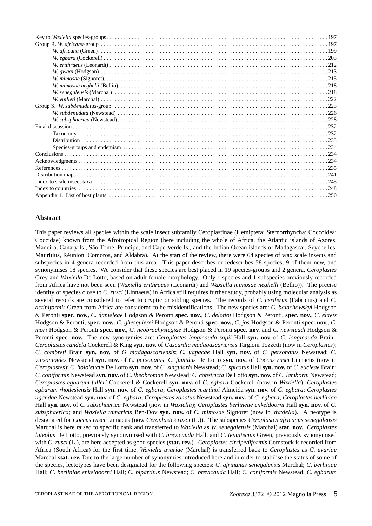#### **Abstract**

This paper reviews all species within the scale insect subfamily Ceroplastinae (Hemiptera: Sternorrhyncha: Coccoidea: Coccidae) known from the Afrotropical Region (here including the whole of Africa, the Atlantic islands of Azores, Madeira, Canary Is., São Tomé, Principe, and Cape Verde Is., and the Indian Ocean islands of Madagascar, Seychelles, Mauritius, Réunion, Comoros, and Aldabra). At the start of the review, there were 64 species of wax scale insects and subspecies in 4 genera recorded from this area. This paper describes or redescribes 58 species, 9 of them new, and synonymises 18 species. We consider that these species are best placed in 19 species-groups and 2 genera, *Ceroplastes* Grey and *Waxiella* De Lotto, based on adult female morphology. Only 1 species and 1 subspecies previously recorded from Africa have not been seen (*Waxiella erithraeus* (Leonardi) and *Waxiella mimosae neghelli* (Bellio)). The precise identity of species close to *C. rusci* (Linnaeus) in Africa still requires further study, probably using molecular analysis as several records are considered to refer to cryptic or sibling species. The records of *C. ceriferus* (Fabricius) and *C. actiniformis* Green from Africa are considered to be misidentifications. The new species are: *C. balachowskyi* Hodgson & Peronti **spec. nov.,** *C. danieleae* Hodgson & Peronti **spec. nov.**, *C. delottoi* Hodgson & Peronti, **spec. nov.**, *C. elaeis* Hodgson & Peronti, **spec. nov.**, *C. ghesquierei* Hodgson & Peronti **spec. nov.,** *C. jos* Hodgson & Peronti **spec. nov***.*, *C. mori* Hodgson & Peronti **spec. nov.**, *C. neobrachystegiae* Hodgson & Peronti **spec. nov**. and *C. newsteadi* Hodgson & Peronti **spec. nov.** The new synonymies are: *Ceroplastes longicauda sapii* Hall **syn. nov** of *C. longicauda* Brain**.**; *Ceroplastes candela* Cockerell & King **syn. nov.** of *Gascardia madagascariensis* Targioni Tozzetti (now in *Ceroplastes*); *C. combreti* Brain **syn. nov.** of *G. madagascariensis*; *C. uapacae* Hall **syn. nov.** of *C. personatus* Newstead; *C. vinsonioides* Newstead **syn. nov.** of *C. personatus*; *C. fumidus* De Lotto **syn. nov.** of *Coccus rusci* Linnaeus (now in *Ceroplastes*); *C. hololeucus* De Lotto **syn. nov**. of *C. singularis* Newstead; *C. spicatus* Hall **syn. nov.** of *C. eucleae* Brain; *C. coniformis* Newstead **syn. nov.** of *C. theobromae* Newstead; *C. constricta* De Lotto **syn. nov.** of *C. lamborni* Newstead; *Ceroplastes egbarum fulleri* Cockerell & Cockerell **syn. nov.** of *C. egbara* Cockerell (now in *Waxiella*); *Ceroplastes egbarum rhodesiensis* Hall **syn. nov.** of *C. egbara*; *Ceroplastes martinoi* Almeida **syn. nov.** of *C. egbara*; *Ceroplastes ugandae* Newstead **syn. nov.** of *C. egbara*; *Ceroplastes zonatus* Newstead **syn. nov.** of *C. egbara*; *Ceroplastes berliniae* Hall **syn. nov.** of *C. subsphaerica* Newstead (now in *Waxiella*)**;** *Ceroplastes berlineae enkeldoorni* Hall **syn. nov.** of *C. subsphaerica*; and *Waxiella tamaricis* Ben-Dov **syn. nov.** of *C. mimosae* Signoret (now in *Waxiella*). A neotype is designated for *Coccus rusci* Linnaeus (now *Ceroplastes rusci* (L.)). The subspecies *Ceroplastes africanus senegalensis* Marchal is here raised to specific rank and transferred to *Waxiella* as *W. senegalensis* (Marchal) **stat. nov.** *Ceroplastes luteolus* De Lotto, previously synonymised with *C. brevicauda* Hall, and *C. tenuitectus* Green, previously synonymised with *C. rusci* (L.), are here accepted as good species (**stat. rev.**). *Ceroplastes cirripediformis* Comstock is recorded from Africa (South Africa) for the first time. *Waxiella uvariae* (Marchal) is transferred back to *Ceroplastes* as *C. uvariae* Marchal **stat. rev.** Due to the large number of synonymies introduced here and in order to stabilise the status of some of the species, lectotypes have been designated for the following species: *C. afrinanus senegalensis* Marchal; *C. berliniae* Hall; *C. berliniae enkeldoorni* Hall; *C. bipartitus* Newstead; *C. brevicauda* Hall; *C. coniformis* Newstead; *C. egbarum*